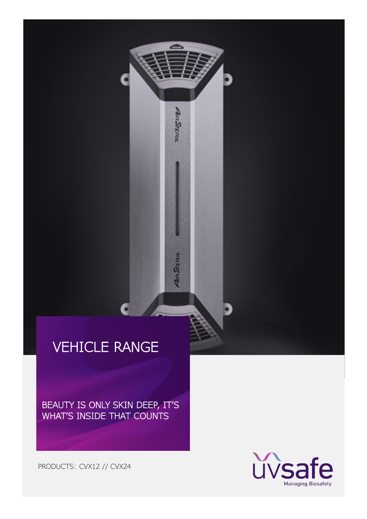AnaSTERIL

**AIR STERIL** 

BEAUTY IS ONLY SKIN DEEP, IT'S WHAT'S INSIDE THAT COUNTS

PRODUCTS: CVX12 // CVX24

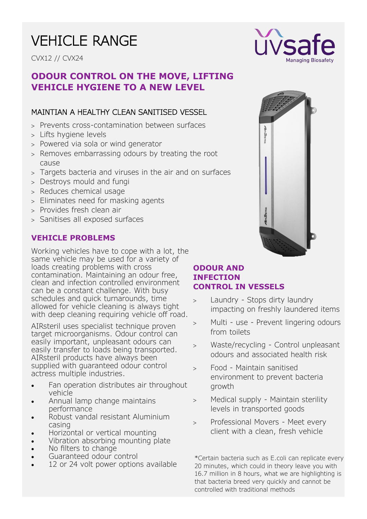CVX12 // CVX24

### **ODOUR CONTROL ON THE MOVE, LIFTING VEHICLE HYGIENE TO A NEW LEVEL**

### MAINTIAN A HEALTHY CLEAN SANITISED VESSEL

- Prevents cross-contamination between surfaces
- Lifts hygiene levels
- Powered via sola or wind generator
- Removes embarrassing odours by treating the root cause
- Targets bacteria and viruses in the air and on surfaces
- Destroys mould and fungi
- > Reduces chemical usage
- Eliminates need for masking agents
- Provides fresh clean air
- Sanitises all exposed surfaces

#### **VEHICLE PROBLEMS**

Working vehicles have to cope with a lot, the same vehicle may be used for a variety of loads creating problems with cross contamination. Maintaining an odour free, clean and infection controlled environment can be a constant challenge. With busy schedules and quick turnarounds, time allowed for vehicle cleaning is always tight with deep cleaning requiring vehicle off road.

AIRsteril uses specialist technique proven target microorganisms. Odour control can easily important, unpleasant odours can easily transfer to loads being transported. AIRsteril products have always been supplied with guaranteed odour control actress multiple industries.

- Fan operation distributes air throughout vehicle
- Annual lamp change maintains performance
- Robust vandal resistant Aluminium casing
- Horizontal or vertical mounting
- Vibration absorbing mounting plate
- No filters to change
- Guaranteed odour control
- 12 or 24 volt power options available





#### **ODOUR AND INFECTION CONTROL IN VESSELS**

- Laundry Stops dirty laundry impacting on freshly laundered items
- Multi use Prevent lingering odours from toilets
- Waste/recycling Control unpleasant odours and associated health risk
- Food Maintain sanitised environment to prevent bacteria growth
- > Medical supply Maintain sterility levels in transported goods
- Professional Movers Meet every client with a clean, fresh vehicle

\*Certain bacteria such as E.coli can replicate every 20 minutes, which could in theory leave you with 16.7 million in 8 hours, what we are highlighting is that bacteria breed very quickly and cannot be controlled with traditional methods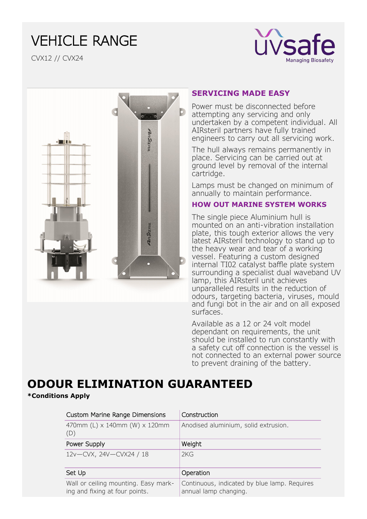

CVX12 // CVX24



#### **SERVICING MADE EASY**

Power must be disconnected before attempting any servicing and only undertaken by a competent individual. All AIRsteril partners have fully trained engineers to carry out all servicing work.

The hull always remains permanently in place. Servicing can be carried out at ground level by removal of the internal cartridge.

Lamps must be changed on minimum of annually to maintain performance.

#### **HOW OUT MARINE SYSTEM WORKS**

The single piece Aluminium hull is mounted on an anti-vibration installation plate, this tough exterior allows the very latest AIRsteril technology to stand up to the heavy wear and tear of a working vessel. Featuring a custom designed internal TI02 catalyst baffle plate system surrounding a specialist dual waveband UV lamp, this AIRsteril unit achieves unparalleled results in the reduction of odours, targeting bacteria, viruses, mould and fungi bot in the air and on all exposed surfaces.

Available as a 12 or 24 volt model dependant on requirements, the unit should be installed to run constantly with a safety cut off connection is the vessel is not connected to an external power source to prevent draining of the battery.

# **ODOUR ELIMINATION GUARANTEED**

#### **\*Conditions Apply**

| <b>Custom Marine Range Dimensions</b>                                  | Construction                                                          |
|------------------------------------------------------------------------|-----------------------------------------------------------------------|
| 470mm (L) x 140mm (W) x 120mm<br>(D)                                   | Anodised aluminium, solid extrusion.                                  |
| Power Supply                                                           | Weight                                                                |
| 12v-CVX, 24V-CVX24 / 18                                                | 2KG                                                                   |
| Set Up                                                                 | Operation                                                             |
| Wall or ceiling mounting. Easy mark-<br>ing and fixing at four points. | Continuous, indicated by blue lamp. Requires<br>annual lamp changing. |